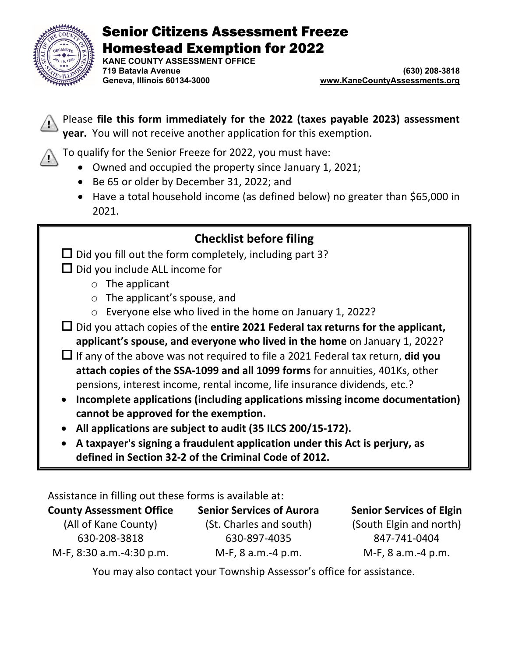

# Senior Citizens Assessment Freeze Homestead Exemption for 2022

**KANE COUNTY ASSESSMENT OFFICE 719 Batavia Avenue (630) 208-3818**

www.KaneCountyAssessments.org

Please **file this form immediately for the 2022 (taxes payable 2023) assessment year.** You will not receive another application for this exemption.

To qualify for the Senior Freeze for 2022, you must have:

- Owned and occupied the property since January 1, 2021;
- Be 65 or older by December 31, 2022; and
- Have a total household income (as defined below) no greater than \$65,000 in 2021.

# **Checklist before filing**

- $\square$  Did you fill out the form completely, including part 3?
- $\Box$  Did you include ALL income for
	- o The applicant
	- o The applicant's spouse, and
	- o Everyone else who lived in the home on January 1, 2022?
- Did you attach copies of the **entire 2021 Federal tax returns for the applicant, applicant's spouse, and everyone who lived in the home** on January 1, 2022?
- If any of the above was not required to file a 2021 Federal tax return, **did you attach copies of the SSA‐1099 and all 1099 forms** for annuities, 401Ks, other pensions, interest income, rental income, life insurance dividends, etc.?
- **Incomplete applications (including applications missing income documentation) cannot be approved for the exemption.**
- **All applications are subject to audit (35 ILCS 200/15‐172).**
- **A taxpayer's signing a fraudulent application under this Act is perjury, as defined in Section 32‐2 of the Criminal Code of 2012.**

Assistance in filling out these forms is available at:

| <b>County Assessment Office</b> | <b>Senior Services of Aurora</b> | <b>Senior Services of Elgin</b> |
|---------------------------------|----------------------------------|---------------------------------|
| (All of Kane County)            | (St. Charles and south)          | (South Elgin and north)         |
| 630-208-3818                    | 630-897-4035                     | 847-741-0404                    |
| M-F, 8:30 a.m.-4:30 p.m.        | M-F, 8 a.m.-4 p.m.               | M-F, 8 a.m.-4 p.m.              |

You may also contact your Township Assessor's office for assistance.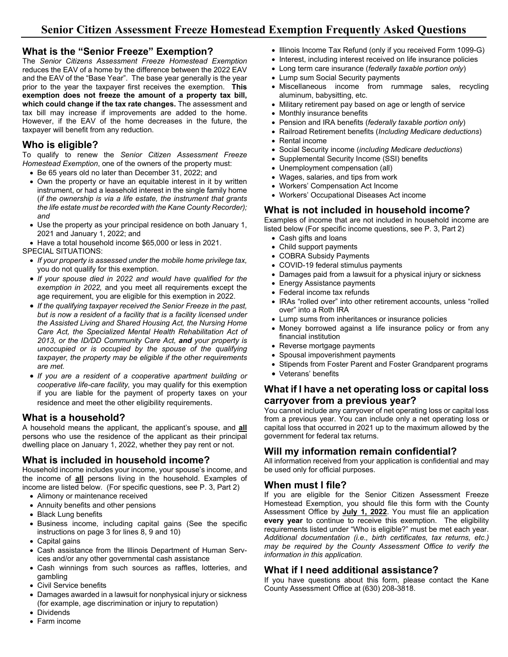#### **What is the "Senior Freeze" Exemption?**

The *Senior Citizens Assessment Freeze Homestead Exemption* reduces the EAV of a home by the difference between the 2022 EAV and the EAV of the "Base Year". The base year generally is the year prior to the year the taxpayer first receives the exemption. **This exemption does not freeze the amount of a property tax bill, which could change if the tax rate changes.** The assessment and tax bill may increase if improvements are added to the home. However, if the EAV of the home decreases in the future, the taxpayer will benefit from any reduction.

## **Who is eligible?**

To qualify to renew the *Senior Citizen Assessment Freeze Homestead Exemption*, one of the owners of the property must:

- Be 65 years old no later than December 31, 2022; and
- Own the property or have an equitable interest in it by written instrument, or had a leasehold interest in the single family home (*if the ownership is via a life estate, the instrument that grants the life estate must be recorded with the Kane County Recorder); and*
- Use the property as your principal residence on both January 1, 2021 and January 1, 2022; and

Have a total household income \$65,000 or less in 2021.

SPECIAL SITUATIONS:

- *If your property is assessed under the mobile home privilege tax,* you do not qualify for this exemption.
- *If your spouse died in 2022 and would have qualified for the exemption in 2022,* and you meet all requirements except the age requirement, you are eligible for this exemption in 2022.
- *If the qualifying taxpayer received the Senior Freeze in the past, but is now a resident of a facility that is a facility licensed under the Assisted Living and Shared Housing Act, the Nursing Home Care Act, the Specialized Mental Health Rehabilitation Act of 2013, or the ID/DD Community Care Act, and your property is unoccupied or is occupied by the spouse of the qualifying taxpayer, the property may be eligible if the other requirements are met.*
- *If you are a resident of a cooperative apartment building or cooperative life-care facility,* you may qualify for this exemption if you are liable for the payment of property taxes on your residence and meet the other eligibility requirements.

#### **What is a household?**

A household means the applicant, the applicant's spouse, and **all** persons who use the residence of the applicant as their principal dwelling place on January 1, 2022, whether they pay rent or not.

## **What is included in household income?**

Household income includes your income, your spouse's income, and the income of **all** persons living in the household. Examples of income are listed below. (For specific questions, see P. 3, Part 2)

- Alimony or maintenance received
- Annuity benefits and other pensions
- Black Lung benefits
- Business income, including capital gains (See the specific instructions on page 3 for lines 8, 9 and 10)
- Capital gains
- Cash assistance from the Illinois Department of Human Services and/or any other governmental cash assistance
- Cash winnings from such sources as raffles, lotteries, and gambling
- Civil Service benefits
- Damages awarded in a lawsuit for nonphysical injury or sickness (for example, age discrimination or injury to reputation)
- Dividends
- Farm income
- Illinois Income Tax Refund (only if you received Form 1099-G)
- Interest, including interest received on life insurance policies
- Long term care insurance (*federally taxable portion only*)
- Lump sum Social Security payments
- Miscellaneous income from rummage sales, recycling aluminum, babysitting, etc.
- Military retirement pay based on age or length of service
- Monthly insurance benefits
- Pension and IRA benefits (*federally taxable portion only*)
- Railroad Retirement benefits (*Including Medicare deductions*)
- Rental income
- Social Security income (*including Medicare deductions*)
- Supplemental Security Income (SSI) benefits
- Unemployment compensation (all)
- Wages, salaries, and tips from work
- Workers' Compensation Act Income
- Workers' Occupational Diseases Act income

## **What is not included in household income?**

Examples of income that are not included in household income are listed below (For specific income questions, see P. 3, Part 2)

- Cash gifts and loans
- Child support payments
- COBRA Subsidy Payments
- COVID-19 federal stimulus payments
- Damages paid from a lawsuit for a physical injury or sickness
- Energy Assistance payments
- Federal income tax refunds
- IRAs "rolled over" into other retirement accounts, unless "rolled over" into a Roth IRA
- Lump sums from inheritances or insurance policies
- Money borrowed against a life insurance policy or from any financial institution
- Reverse mortgage payments
- Spousal impoverishment payments
- Stipends from Foster Parent and Foster Grandparent programs
- Veterans' benefits

#### **What if I have a net operating loss or capital loss carryover from a previous year?**

You cannot include any carryover of net operating loss or capital loss from a previous year. You can include only a net operating loss or capital loss that occurred in 2021 up to the maximum allowed by the government for federal tax returns.

#### **Will my information remain confidential?**

All information received from your application is confidential and may be used only for official purposes.

#### **When must I file?**

If you are eligible for the Senior Citizen Assessment Freeze Homestead Exemption, you should file this form with the County Assessment Office by **July 1, 2022**. You must file an application **every year** to continue to receive this exemption. The eligibility requirements listed under "Who is eligible?" must be met each year. *Additional documentation (i.e., birth certificates, tax returns, etc.) may be required by the County Assessment Office to verify the information in this application.*

## **What if I need additional assistance?**

If you have questions about this form, please contact the Kane County Assessment Office at (630) 208-3818.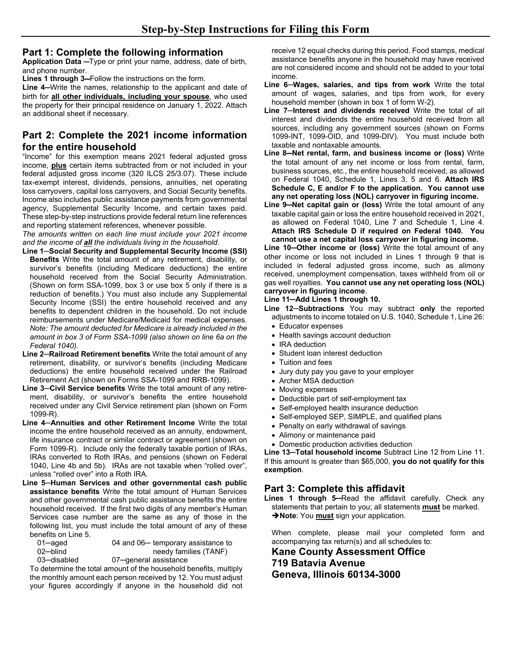#### **Part 1: Complete the following information**

**Application Data** ─Type or print your name, address, date of birth, and phone number.

**Lines 1 through 3**─Follow the instructions on the form.

**Line 4**─Write the names, relationship to the applicant and date of birth for **all other individuals, including your spouse**, who used the property for their principal residence on January 1, 2022. Attach an additional sheet if necessary.

## **Part 2: Complete the 2021 income information for the entire household**

"Income" for this exemption means 2021 federal adjusted gross income, **plus** certain items subtracted from or not included in your federal adjusted gross income (320 ILCS 25/3.07). These include tax-exempt interest, dividends, pensions, annuities, net operating loss carryovers, capital loss carryovers, and Social Security benefits. Income also includes public assistance payments from governmental agency, Supplemental Security Income, and certain taxes paid. These step-by-step instructions provide federal return line references and reporting statement references, whenever possible.

*The amounts written on each line must include your 2021 income and the income of all the individuals living in the household.*

- **Line 1─Social Security and Supplemental Security Income (SSI) Benefits** Write the total amount of any retirement, disability, or survivor's benefits (including Medicare deductions) the entire household received from the Social Security Administration. (Shown on form SSA-1099, box 3 or use box 5 only if there is a reduction of benefits.) You must also include any Supplemental Security Income (SSI) the entire household received and any benefits to dependent children in the household. Do not include reimbursements under Medicare/Medicaid for medical expenses. *Note: The amount deducted for Medicare is already included in the amount in box 3 of Form SSA-1099 (also shown on line 6a on the Federal 1040).*
- **Line 2─Railroad Retirement benefits** Write the total amount of any retirement, disability, or survivor's benefits (including Medicare deductions) the entire household received under the Railroad Retirement Act (shown on Forms SSA-1099 and RRB-1099).
- **Line 3─Civil Service benefits** Write the total amount of any retirement, disability, or survivor's benefits the entire household received under any Civil Service retirement plan (shown on Form 1099-R).
- **Line 4─Annuities and other Retirement Income** Write the total income the entire household received as an annuity, endowment, life insurance contract or similar contract or agreement (shown on Form 1099-R). Include only the federally taxable portion of IRAs, IRAs converted to Roth IRAs, and pensions (shown on Federal 1040, Line 4b and 5b). IRAs are not taxable when "rolled over", unless "rolled over" into a Roth IRA.
- **Line 5─Human Services and other governmental cash public assistance benefits** Write the total amount of Human Services and other governmental cash public assistance benefits the entire household received. If the first two digits of any member's Human Services case number are the same as any of those in the following list, you must include the total amount of any of these benefits on Line 5.

| 01—aqed     | 04 and 06- temporary assistance to |
|-------------|------------------------------------|
| 02—blind    | needy families (TANF)              |
| 03—disabled | 07-general assistance              |

To determine the total amount of the household benefits, multiply the monthly amount each person received by 12. You must adjust your figures accordingly if anyone in the household did not receive 12 equal checks during this period. Food stamps, medical assistance benefits anyone in the household may have received are not considered income and should not be added to your total income.

- **Line 6─Wages, salaries, and tips from work** Write the total amount of wages, salaries, and tips from work, for every household member (shown in box 1 of form W-2).
- **Line 7─Interest and dividends received** Write the total of all interest and dividends the entire household received from all sources, including any government sources (shown on Forms 1099-INT, 1099-OID, and 1099-DIV). You must include both taxable and nontaxable amounts.
- **Line 8**─**Net rental, farm, and business income or (loss)** Write the total amount of any net income or loss from rental, farm, business sources, etc., the entire household received, as allowed on Federal 1040, Schedule 1, Lines 3, 5 and 6. **Attach IRS Schedule C, E and/or F to the application. You cannot use any net operating loss (NOL) carryover in figuring income.**
- **Line 9**─**Net capital gain or (loss)** Write the total amount of any taxable capital gain or loss the entire household received in 2021, as allowed on Federal 1040, Line 7 and Schedule 1, Line 4. **Attach IRS Schedule D if required on Federal 1040. You cannot use a net capital loss carryover in figuring income.**

**Line 10**─**Other income or (loss)** Write the total amount of any other income or loss not included in Lines 1 through 9 that is included in federal adjusted gross income, such as alimony received, unemployment compensation, taxes withheld from oil or gas well royalties. **You cannot use any net operating loss (NOL) carryover in figuring income**.

#### **Line 11**─**Add Lines 1 through 10.**

- **Line 12─Subtractions** You may subtract **only** the reported adjustments to income totaled on U.S. 1040, Schedule 1, Line 26: • Educator expenses
	- Health savings account deduction
	- IRA deduction
	- Student loan interest deduction
	- Tuition and fees
	- Jury duty pay you gave to your employer
	- Archer MSA deduction
	- Moving expenses
	- Deductible part of self-employment tax
	- Self-employed health insurance deduction
	- Self-employed SEP, SIMPLE, and qualified plans
	- Penalty on early withdrawal of savings
	- Alimony or maintenance paid
	- Domestic production activities deduction

**Line 13**─**Total household income** Subtract Line 12 from Line 11. If this amount is greater than \$65,000, **you do not qualify for this exemption**.

## **Part 3: Complete this affidavit**

Lines 1 through 5-Read the affidavit carefully. Check any statements that pertain to you; all statements **must** be marked. **Note**: You **must** sign your application.

When complete, please mail your completed form and accompanying tax return(s) and all schedules to:

**Kane County Assessment Office 719 Batavia Avenue Geneva, Illinois 60134-3000**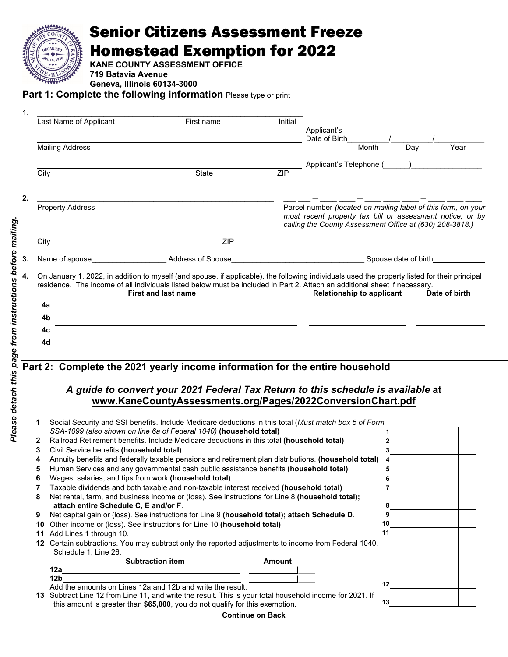

# Senior Citizens Assessment Freeze Homestead Exemption for 2022

**KANE COUNTY ASSESSMENT OFFICE**

**719 Batavia Avenue** 

**Geneva, Illinois 60134-3000** 

**Part 1: Complete the following information** Please type or print

| 1.   |                         |                                                                                                                       |         |                                                                                                                                                                                 |
|------|-------------------------|-----------------------------------------------------------------------------------------------------------------------|---------|---------------------------------------------------------------------------------------------------------------------------------------------------------------------------------|
|      | Last Name of Applicant  | First name                                                                                                            | Initial |                                                                                                                                                                                 |
|      |                         |                                                                                                                       |         | Applicant's                                                                                                                                                                     |
|      |                         |                                                                                                                       |         | Date of Birth                                                                                                                                                                   |
|      | <b>Mailing Address</b>  |                                                                                                                       |         | Year<br>Month<br>Dav                                                                                                                                                            |
|      |                         |                                                                                                                       |         | Applicant's Telephone (_____)__________________                                                                                                                                 |
| City |                         | State                                                                                                                 | ZIP     |                                                                                                                                                                                 |
|      |                         |                                                                                                                       |         |                                                                                                                                                                                 |
|      |                         |                                                                                                                       |         |                                                                                                                                                                                 |
|      |                         |                                                                                                                       |         |                                                                                                                                                                                 |
|      | <b>Property Address</b> |                                                                                                                       |         | Parcel number (located on mailing label of this form, on your                                                                                                                   |
|      |                         |                                                                                                                       |         | most recent property tax bill or assessment notice, or by                                                                                                                       |
|      |                         |                                                                                                                       |         | calling the County Assessment Office at (630) 208-3818.)                                                                                                                        |
| City |                         | <b>ZIP</b>                                                                                                            |         |                                                                                                                                                                                 |
|      |                         |                                                                                                                       |         |                                                                                                                                                                                 |
|      |                         |                                                                                                                       |         |                                                                                                                                                                                 |
| 4a   |                         | <b>First and last name</b>                                                                                            |         | residence. The income of all individuals listed below must be included in Part 2. Attach an additional sheet if necessary.<br><b>Relationship to applicant</b><br>Date of birth |
|      |                         | <u> 1989 - Johann Barn, mars et al. (b. 1989)</u>                                                                     |         |                                                                                                                                                                                 |
| 4b   |                         | <u> 1989 - Johann Stoff, amerikansk politiker (* 1908)</u>                                                            |         |                                                                                                                                                                                 |
| 4c   |                         | <u>and the state of the state of the state of the state of the state of the state of the state of the state of th</u> |         |                                                                                                                                                                                 |
| 4d   |                         |                                                                                                                       |         |                                                                                                                                                                                 |
|      |                         |                                                                                                                       |         |                                                                                                                                                                                 |
|      |                         |                                                                                                                       |         |                                                                                                                                                                                 |
|      |                         | Part 2: Complete the 2021 yearly income information for the entire household                                          |         |                                                                                                                                                                                 |
|      |                         |                                                                                                                       |         |                                                                                                                                                                                 |
|      |                         |                                                                                                                       |         | A guide to convert your 2021 Federal Tax Return to this schedule is available at                                                                                                |
|      |                         |                                                                                                                       |         | www.KaneCountyAssessments.org/Pages/2022ConversionChart.pdf                                                                                                                     |
|      |                         |                                                                                                                       |         |                                                                                                                                                                                 |
|      |                         | Social Security and SSI benefits Include Medicare deductions in this total (Must match box 5 of Form                  |         |                                                                                                                                                                                 |

|              | Social Security and SSI benefits. Include Medicare deductions in this total (Must match box 5 of Form                                                                                    |    |
|--------------|------------------------------------------------------------------------------------------------------------------------------------------------------------------------------------------|----|
|              | SSA-1099 (also shown on line 6a of Federal 1040) (household total)                                                                                                                       |    |
| $\mathbf{2}$ | Railroad Retirement benefits. Include Medicare deductions in this total (household total)                                                                                                |    |
| 3            | Civil Service benefits (household total)                                                                                                                                                 |    |
| 4            | Annuity benefits and federally taxable pensions and retirement plan distributions. (household total)                                                                                     |    |
| 5            | Human Services and any governmental cash public assistance benefits (household total)                                                                                                    |    |
| 6            | Wages, salaries, and tips from work (household total)                                                                                                                                    |    |
|              | Taxable dividends and both taxable and non-taxable interest received (household total)                                                                                                   |    |
| 8            | Net rental, farm, and business income or (loss). See instructions for Line 8 (household total);                                                                                          |    |
|              | attach entire Schedule C, E and/or F.                                                                                                                                                    |    |
| 9            | Net capital gain or (loss). See instructions for Line 9 (household total); attach Schedule D.                                                                                            |    |
| 10           | Other income or (loss). See instructions for Line 10 (household total)                                                                                                                   |    |
| 11           | Add Lines 1 through 10.                                                                                                                                                                  |    |
| 12.          | Certain subtractions. You may subtract only the reported adjustments to income from Federal 1040,<br>Schedule 1, Line 26.                                                                |    |
|              | <b>Subtraction item</b><br>Amount                                                                                                                                                        |    |
|              | 12a                                                                                                                                                                                      |    |
|              | 12 <sub>b</sub>                                                                                                                                                                          | 12 |
|              | Add the amounts on Lines 12a and 12b and write the result.                                                                                                                               |    |
|              | 13 Subtract Line 12 from Line 11, and write the result. This is your total household income for 2021. If<br>this amount is greater than \$65,000, you do not qualify for this exemption. | 13 |

**Continue on Back**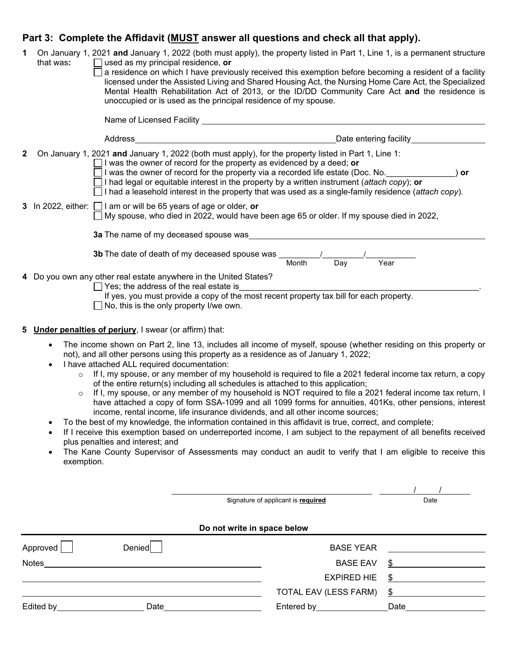## Part 3: Complete the Affidavit (**MUST** answer all questions and check all that apply).

| 1 | On January 1, 2021 and January 1, 2022 (both must apply), the property listed in Part 1, Line 1, is a permanent structure<br>that was:<br>$\Box$ used as my principal residence, $\mathop{\mathsf{or}}$<br>a residence on which I have previously received this exemption before becoming a resident of a facility<br>licensed under the Assisted Living and Shared Housing Act, the Nursing Home Care Act, the Specialized<br>Mental Health Rehabilitation Act of 2013, or the ID/DD Community Care Act and the residence is<br>unoccupied or is used as the principal residence of my spouse.                                                                                                                                                                                                                                                                                                                                                                                                                                                                                             |
|---|---------------------------------------------------------------------------------------------------------------------------------------------------------------------------------------------------------------------------------------------------------------------------------------------------------------------------------------------------------------------------------------------------------------------------------------------------------------------------------------------------------------------------------------------------------------------------------------------------------------------------------------------------------------------------------------------------------------------------------------------------------------------------------------------------------------------------------------------------------------------------------------------------------------------------------------------------------------------------------------------------------------------------------------------------------------------------------------------|
|   | Name of Licensed Facility _                                                                                                                                                                                                                                                                                                                                                                                                                                                                                                                                                                                                                                                                                                                                                                                                                                                                                                                                                                                                                                                                 |
|   | Address<br>Date entering facility                                                                                                                                                                                                                                                                                                                                                                                                                                                                                                                                                                                                                                                                                                                                                                                                                                                                                                                                                                                                                                                           |
| 2 | On January 1, 2021 and January 1, 2022 (both must apply), for the property listed in Part 1, Line 1:<br>$\Box$ I was the owner of record for the property as evidenced by a deed; or<br>$\Box$ I was the owner of record for the property via a recorded life estate (Doc. No.<br>) or<br>$\Box$ I had legal or equitable interest in the property by a written instrument (attach copy); or<br>$\Box$ I had a leasehold interest in the property that was used as a single-family residence (attach copy).                                                                                                                                                                                                                                                                                                                                                                                                                                                                                                                                                                                 |
|   | 3 In 2022, either: $\Box$ I am or will be 65 years of age or older, or<br>$\Box$ My spouse, who died in 2022, would have been age 65 or older. If my spouse died in 2022,                                                                                                                                                                                                                                                                                                                                                                                                                                                                                                                                                                                                                                                                                                                                                                                                                                                                                                                   |
|   | 3a The name of my deceased spouse was                                                                                                                                                                                                                                                                                                                                                                                                                                                                                                                                                                                                                                                                                                                                                                                                                                                                                                                                                                                                                                                       |
|   | <b>3b</b> The date of death of my deceased spouse was<br>Day<br>Year<br>Month                                                                                                                                                                                                                                                                                                                                                                                                                                                                                                                                                                                                                                                                                                                                                                                                                                                                                                                                                                                                               |
|   | 4 Do you own any other real estate anywhere in the United States?<br>$\Box$ Yes; the address of the real estate is<br>If yes, you must provide a copy of the most recent property tax bill for each property.<br>$\Box$ No, this is the only property I/we own.                                                                                                                                                                                                                                                                                                                                                                                                                                                                                                                                                                                                                                                                                                                                                                                                                             |
| 5 | <b>Under penalties of perjury</b> , I swear (or affirm) that:                                                                                                                                                                                                                                                                                                                                                                                                                                                                                                                                                                                                                                                                                                                                                                                                                                                                                                                                                                                                                               |
|   | The income shown on Part 2, line 13, includes all income of myself, spouse (whether residing on this property or<br>$\bullet$<br>not), and all other persons using this property as a residence as of January 1, 2022;<br>I have attached ALL required documentation:<br>$\bullet$<br>If I, my spouse, or any member of my household is required to file a 2021 federal income tax return, a copy<br>$\circ$<br>of the entire return(s) including all schedules is attached to this application;<br>If I, my spouse, or any member of my household is NOT required to file a 2021 federal income tax return, I<br>$\circ$<br>have attached a copy of form SSA-1099 and all 1099 forms for annuities, 401Ks, other pensions, interest<br>income, rental income, life insurance dividends, and all other income sources;<br>To the best of my knowledge, the information contained in this affidavit is true, correct, and complete;<br>If I receive this exemption based on underreported income, I am subject to the repayment of all benefits received<br>plus penalties and interest; and |

• The Kane County Supervisor of Assessments may conduct an audit to verify that I am eligible to receive this exemption.

Signature of applicant is **required** Date

/ /

#### **Do not write in space below**

| Approved  | Denied | <b>BASE YEAR</b>      |      |
|-----------|--------|-----------------------|------|
| Notes     |        | <b>BASE EAV</b>       | \$   |
|           |        | <b>EXPIRED HIE</b>    | -S   |
|           |        | TOTAL EAV (LESS FARM) | \$   |
| Edited by | Date   | Entered by Entered by | Date |